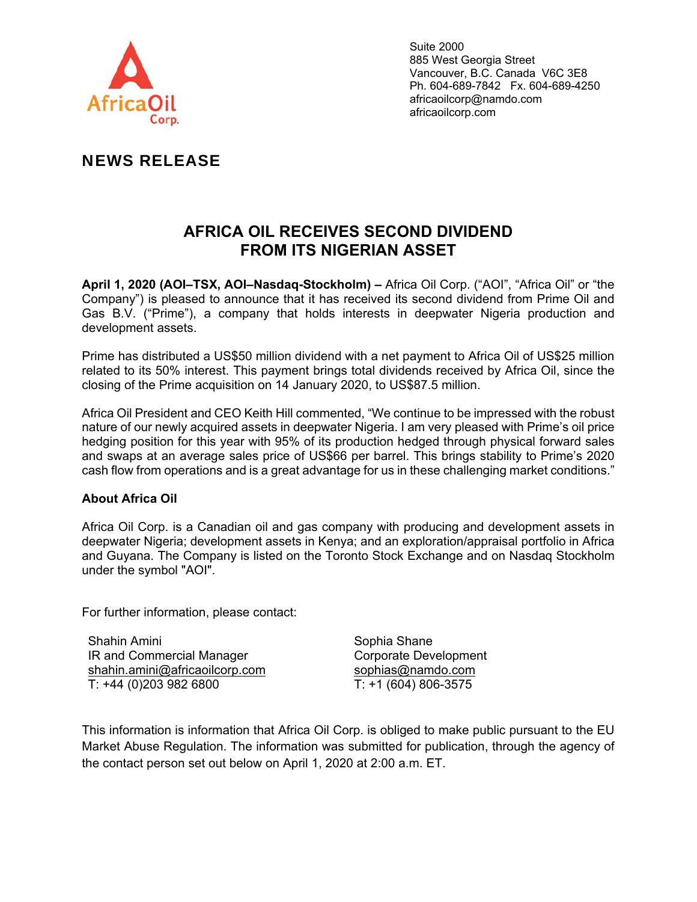

Suite 2000 885 West Georgia Street Vancouver, B.C. Canada V6C 3E8 Ph. 604-689-7842 Fx. 604-689-4250 africaoilcorp@namdo.com africaoilcorp.com

## NEWS RELEASE

## **AFRICA OIL RECEIVES SECOND DIVIDEND FROM ITS NIGERIAN ASSET**

**April 1, 2020 (AOI–TSX, AOI–Nasdaq-Stockholm) –** Africa Oil Corp. ("AOI", "Africa Oil" or "the Company") is pleased to announce that it has received its second dividend from Prime Oil and Gas B.V. ("Prime"), a company that holds interests in deepwater Nigeria production and development assets.

Prime has distributed a US\$50 million dividend with a net payment to Africa Oil of US\$25 million related to its 50% interest. This payment brings total dividends received by Africa Oil, since the closing of the Prime acquisition on 14 January 2020, to US\$87.5 million.

Africa Oil President and CEO Keith Hill commented, "We continue to be impressed with the robust nature of our newly acquired assets in deepwater Nigeria. I am very pleased with Prime's oil price hedging position for this year with 95% of its production hedged through physical forward sales and swaps at an average sales price of US\$66 per barrel. This brings stability to Prime's 2020 cash flow from operations and is a great advantage for us in these challenging market conditions."

## **About Africa Oil**

Africa Oil Corp. is a Canadian oil and gas company with producing and development assets in deepwater Nigeria; development assets in Kenya; and an exploration/appraisal portfolio in Africa and Guyana. The Company is listed on the Toronto Stock Exchange and on Nasdaq Stockholm under the symbol "AOI".

For further information, please contact:

Shahin Amini IR and Commercial Manager shahin.amini@africaoilcorp.com T: +44 (0)203 982 6800

Sophia Shane Corporate Development sophias@namdo.com T: +1 (604) 806-3575

This information is information that Africa Oil Corp. is obliged to make public pursuant to the EU Market Abuse Regulation. The information was submitted for publication, through the agency of the contact person set out below on April 1, 2020 at 2:00 a.m. ET.